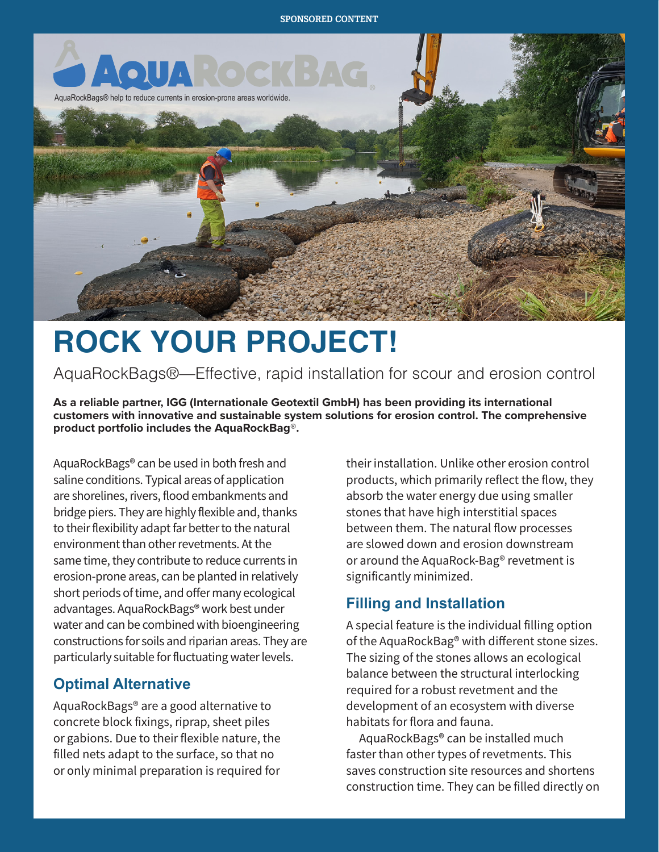

# **ROCK YOUR PROJECT!**

AquaRockBags®—Effective, rapid installation for scour and erosion control

**As a reliable partner, IGG (Internationale Geotextil GmbH) has been providing its international customers with innovative and sustainable system solutions for erosion control. The comprehensive product portfolio includes the AquaRockBag®.**

AquaRockBags® can be used in both fresh and saline conditions. Typical areas of application are shorelines, rivers, flood embankments and bridge piers. They are highly flexible and, thanks to their flexibility adapt far better to the natural environment than other revetments. At the same time, they contribute to reduce currents in erosion-prone areas, can be planted in relatively short periods of time, and offer many ecological advantages. AquaRockBags® work best under water and can be combined with bioengineering constructions for soils and riparian areas. They are particularly suitable for fluctuating water levels.

### **Optimal Alternative**

AquaRockBags® are a good alternative to concrete block fixings, riprap, sheet piles or gabions. Due to their flexible nature, the filled nets adapt to the surface, so that no or only minimal preparation is required for

their installation. Unlike other erosion control products, which primarily reflect the flow, they absorb the water energy due using smaller stones that have high interstitial spaces between them. The natural flow processes are slowed down and erosion downstream or around the AquaRock-Bag® revetment is significantly minimized.

# **Filling and Installation**

A special feature is the individual filling option of the AquaRockBag® with different stone sizes. The sizing of the stones allows an ecological balance between the structural interlocking required for a robust revetment and the development of an ecosystem with diverse habitats for flora and fauna.

AquaRockBags® can be installed much faster than other types of revetments. This saves construction site resources and shortens construction time. They can be filled directly on